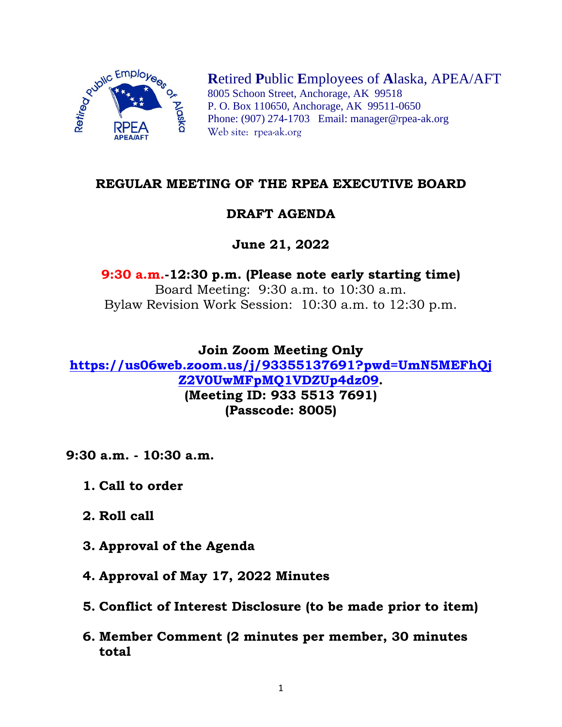

**R**etired **P**ublic **E**mployees of **A**laska, APEA/AFT 8005 Schoon Street, Anchorage, AK 99518 P. O. Box 110650, Anchorage, AK 99511-0650 Phone: (907) 274-1703 Email: manager@rpea-ak.org Web site: rpea-ak.org

### **REGULAR MEETING OF THE RPEA EXECUTIVE BOARD**

# **DRAFT AGENDA**

# **June 21, 2022**

### **9:30 a.m.-12:30 p.m. (Please note early starting time)** Board Meeting: 9:30 a.m. to 10:30 a.m. Bylaw Revision Work Session: 10:30 a.m. to 12:30 p.m.

**Join Zoom Meeting Only [https://us06web.zoom.us/j/93355137691?pwd=UmN5MEFhQj](https://us06web.zoom.us/j/93355137691?pwd=UmN5MEFhQjZ2V0UwMFpMQ1VDZUp4dz09) [Z2V0UwMFpMQ1VDZUp4dz09.](https://us06web.zoom.us/j/93355137691?pwd=UmN5MEFhQjZ2V0UwMFpMQ1VDZUp4dz09) (Meeting ID: 933 5513 7691) (Passcode: 8005)**

**9:30 a.m. - 10:30 a.m.**

- **1. Call to order**
- **2. Roll call**
- **3. Approval of the Agenda**
- **4. Approval of May 17, 2022 Minutes**
- **5. Conflict of Interest Disclosure (to be made prior to item)**
- **6. Member Comment (2 minutes per member, 30 minutes total**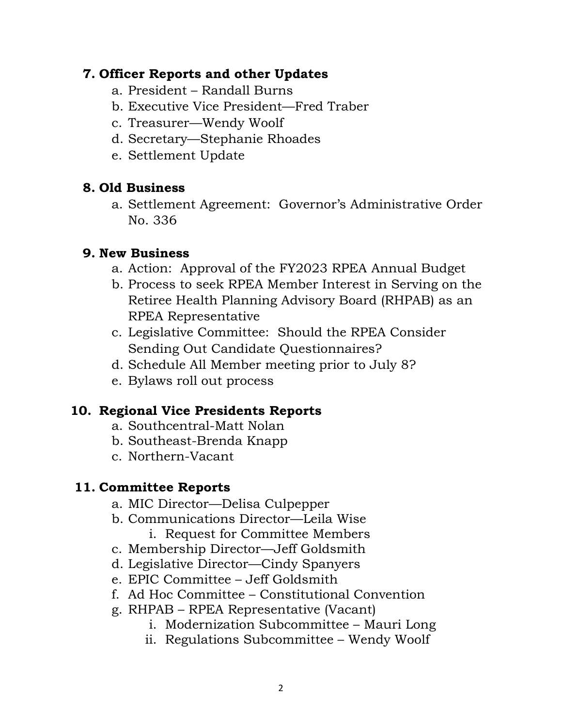### **7. Officer Reports and other Updates**

- a. President Randall Burns
- b. Executive Vice President—Fred Traber
- c. Treasurer—Wendy Woolf
- d. Secretary—Stephanie Rhoades
- e. Settlement Update

# **8. Old Business**

a. Settlement Agreement: Governor's Administrative Order No. 336

## **9. New Business**

- a. Action: Approval of the FY2023 RPEA Annual Budget
- b. Process to seek RPEA Member Interest in Serving on the Retiree Health Planning Advisory Board (RHPAB) as an RPEA Representative
- c. Legislative Committee: Should the RPEA Consider Sending Out Candidate Questionnaires?
- d. Schedule All Member meeting prior to July 8?
- e. Bylaws roll out process

### **10. Regional Vice Presidents Reports**

- a. Southcentral-Matt Nolan
- b. Southeast-Brenda Knapp
- c. Northern-Vacant

### **11. Committee Reports**

- a. MIC Director—Delisa Culpepper
- b. Communications Director—Leila Wise
	- i. Request for Committee Members
- c. Membership Director—Jeff Goldsmith
- d. Legislative Director—Cindy Spanyers
- e. EPIC Committee Jeff Goldsmith
- f. Ad Hoc Committee Constitutional Convention
- g. RHPAB RPEA Representative (Vacant)
	- i. Modernization Subcommittee Mauri Long
	- ii. Regulations Subcommittee Wendy Woolf